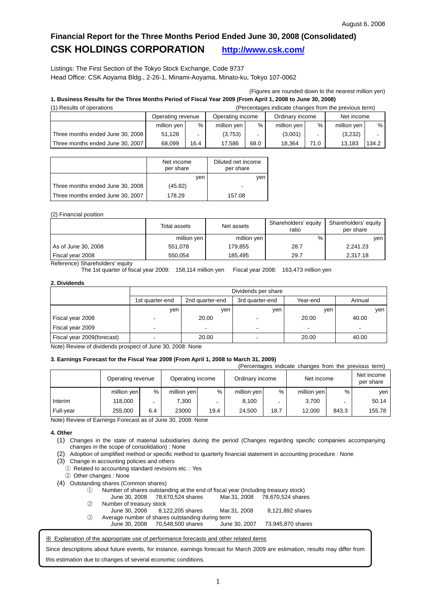## **Financial Report for the Three Months Period Ended June 30, 2008 (Consolidated) CSK HOLDINGS CORPORATION <http://www.csk.com/>**

Listings: The First Section of the Tokyo Stock Exchange, Code 9737 Head Office: CSK Aoyama Bldg., 2-26-1, Minami-Aoyama, Minato-ku, Tokyo 107-0062

(Figures are rounded down to the nearest million yen)

### **1. Business Results for the Three Months Period of Fiscal Year 2009 (From April 1, 2008 to June 30, 2008)**

| (Percentages indicate changes from the previous term)<br>(1) Results of operations |                   |      |                  |                          |                 |      |             |       |
|------------------------------------------------------------------------------------|-------------------|------|------------------|--------------------------|-----------------|------|-------------|-------|
|                                                                                    | Operating revenue |      | Operating income |                          | Ordinary income |      | Net income  |       |
|                                                                                    | million yen       | %    | million yen      | %                        | million yen     | %    | million yen | %     |
| Three months ended June 30, 2008                                                   | 51.128            |      | (3,753)          | $\overline{\phantom{0}}$ | (3,001)         |      | (3,232)     |       |
| Three months ended June 30, 2007                                                   | 68.099            | 16.4 | 17.586           | 68.0                     | 18.364          | 71.0 | 13.183      | 134.2 |

|                                  | Net income<br>per share | Diluted net income<br>per share |
|----------------------------------|-------------------------|---------------------------------|
|                                  | ven                     | ven                             |
| Three months ended June 30, 2008 | (45.82)                 |                                 |
| Three months ended June 30, 2007 | 178.29                  | 157.08                          |

### (2) Financial position

|                     | Total assets | Net assets  | Shareholders' equity<br>ratio | Shareholders' equity<br>per share |  |
|---------------------|--------------|-------------|-------------------------------|-----------------------------------|--|
|                     | million yen  | million yen | %                             | ven                               |  |
| As of June 30, 2008 | 551.078      | 179.855     | 28.7                          | 2,241.23                          |  |
| Fiscal year 2008    | 550.054      | 185.495     | 29.7                          | 2,317.18                          |  |

Reference) Shareholders' equity

The 1st quarter of fiscal year 2009: 158,114 million yen Fiscal year 2008: 163,473 million yen

### **2. Dividends**

|                            | Dividends per share |                                                |                          |       |       |  |  |  |  |
|----------------------------|---------------------|------------------------------------------------|--------------------------|-------|-------|--|--|--|--|
|                            | 1st quarter-end     | 2nd quarter-end<br>Year-end<br>3rd quarter-end |                          |       |       |  |  |  |  |
|                            | ven                 | ven                                            | yen                      | ven   | ven   |  |  |  |  |
| Fiscal year 2008           |                     | 20.00                                          |                          | 20.00 | 40.00 |  |  |  |  |
| Fiscal year 2009           |                     | $\overline{\phantom{0}}$                       |                          | -     |       |  |  |  |  |
| Fiscal year 2009(forecast) |                     | 20.00                                          | $\overline{\phantom{0}}$ | 20.00 | 40.00 |  |  |  |  |

Note) Review of dividends prospect of June 30, 2008: None

### **3. Earnings Forecast for the Fiscal Year 2009 (From April 1, 2008 to March 31, 2009)**

|           |                   | (Percentages indicate changes from the previous term) |                  |      |                 |      |             |                          |                         |
|-----------|-------------------|-------------------------------------------------------|------------------|------|-----------------|------|-------------|--------------------------|-------------------------|
|           | Operating revenue |                                                       | Operating income |      | Ordinary income |      | Net income  |                          | Net income<br>per share |
|           | million yen       | %                                                     | million yen      | %    | million yen     | %    | million yen | %                        | ven                     |
| Interim   | 118,000           |                                                       | 7.300            |      | 8,100           |      | 3.700       | $\overline{\phantom{0}}$ | 50.14                   |
| Full-year | 255.000           | 6.4                                                   | 23000            | 19.4 | 24,500          | 18.7 | 12,000      | 843.3                    | 155.78                  |

Note) Review of Earnings Forecast as of June 30, 2008: None

### **4. Other**

- (1) Changes in the state of material subsidiaries during the period (Changes regarding specific companies accompanying changes in the scope of consolidation) : None
- (2) Adoption of simplified method or specific method to quarterly financial statement in accounting procedure : None
- (3) Change in accounting policies and others
- ① Related to accounting standard revisions etc. : Yes
- ② Other changes : None
- (4) Outstanding shares (Common shares)
	- ① Number of shares outstanding at the end of fiscal year (Including treasury stock)
	- June 30, 2008 78,670,524 shares Mar.31, 2008 78,670,524 shares ② Number of treasury stock

| (A) | <b>INUITIVEL OF LIEASULY SLUGA</b> |                                                  |               |                   |
|-----|------------------------------------|--------------------------------------------------|---------------|-------------------|
|     | June 30, 2008                      | 8.122.205 shares                                 | Mar.31, 2008  | 8,121,892 shares  |
| (3) |                                    | Average number of shares outstanding during term |               |                   |
|     | June 30. 2008                      | 70.548.500 shares                                | June 30, 2007 | 73.945.870 shares |

※ Explanation of the appropriate use of performance forecasts and other related items

Since descriptions about future events, for instance, earnings forecast for March 2009 are estimation, results may differ from this estimation due to changes of several economic conditions.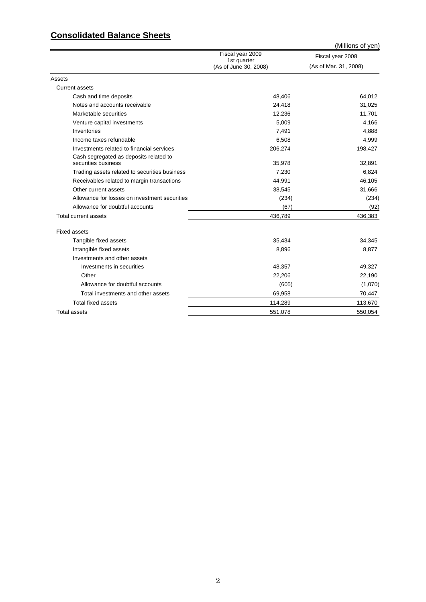## **Consolidated Balance Sheets**

|                                                               |                                      | (Millions of yen)     |
|---------------------------------------------------------------|--------------------------------------|-----------------------|
|                                                               | Fiscal year 2009                     | Fiscal year 2008      |
|                                                               | 1st quarter<br>(As of June 30, 2008) | (As of Mar. 31, 2008) |
| Assets                                                        |                                      |                       |
| <b>Current assets</b>                                         |                                      |                       |
| Cash and time deposits                                        | 48,406                               | 64,012                |
| Notes and accounts receivable                                 | 24,418                               | 31,025                |
| Marketable securities                                         | 12,236                               | 11,701                |
| Venture capital investments                                   | 5,009                                | 4,166                 |
| Inventories                                                   | 7,491                                | 4,888                 |
| Income taxes refundable                                       | 6,508                                | 4,999                 |
| Investments related to financial services                     | 206,274                              | 198,427               |
| Cash segregated as deposits related to<br>securities business | 35,978                               | 32,891                |
| Trading assets related to securities business                 | 7,230                                | 6,824                 |
| Receivables related to margin transactions                    | 44,991                               | 46,105                |
| Other current assets                                          | 38,545                               | 31,666                |
| Allowance for losses on investment securities                 | (234)                                | (234)                 |
| Allowance for doubtful accounts                               | (67)                                 | (92)                  |
| Total current assets                                          | 436,789                              | 436,383               |
| <b>Fixed assets</b>                                           |                                      |                       |
| Tangible fixed assets                                         | 35,434                               | 34,345                |
| Intangible fixed assets                                       | 8,896                                | 8,877                 |
| Investments and other assets                                  |                                      |                       |
| Investments in securities                                     | 48,357                               | 49,327                |
| Other                                                         | 22,206                               | 22,190                |
| Allowance for doubtful accounts                               | (605)                                | (1,070)               |
| Total investments and other assets                            | 69,958                               | 70,447                |
| <b>Total fixed assets</b>                                     | 114,289                              | 113,670               |
| <b>Total assets</b>                                           | 551,078                              | 550,054               |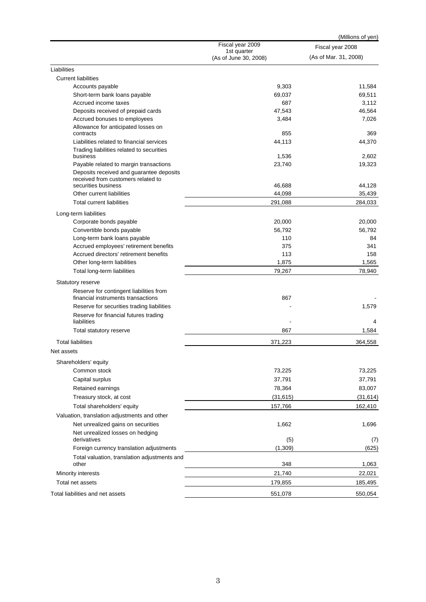|                                                                                |                                      | (Millions of yen)     |
|--------------------------------------------------------------------------------|--------------------------------------|-----------------------|
|                                                                                | Fiscal year 2009                     | Fiscal year 2008      |
|                                                                                | 1st quarter<br>(As of June 30, 2008) | (As of Mar. 31, 2008) |
| Liabilities                                                                    |                                      |                       |
| <b>Current liabilities</b>                                                     |                                      |                       |
| Accounts payable                                                               | 9,303                                | 11,584                |
| Short-term bank loans payable                                                  | 69,037                               | 69,511                |
| Accrued income taxes                                                           | 687                                  | 3,112                 |
| Deposits received of prepaid cards                                             | 47,543                               | 46,564                |
| Accrued bonuses to employees                                                   | 3,484                                | 7,026                 |
| Allowance for anticipated losses on<br>contracts                               | 855                                  | 369                   |
| Liabilities related to financial services                                      | 44,113                               | 44,370                |
| Trading liabilities related to securities<br>business                          | 1,536                                | 2,602                 |
| Payable related to margin transactions                                         | 23,740                               | 19,323                |
| Deposits received and guarantee deposits<br>received from customers related to |                                      |                       |
| securities business                                                            | 46,688                               | 44,128                |
| Other current liabilities                                                      | 44,098                               | 35,439                |
| Total current liabilities                                                      | 291,088                              | 284,033               |
| Long-term liabilities                                                          |                                      |                       |
| Corporate bonds payable                                                        | 20,000                               | 20,000                |
| Convertible bonds payable                                                      | 56,792                               | 56,792                |
| Long-term bank loans payable                                                   | 110                                  | 84                    |
| Accrued employees' retirement benefits                                         | 375                                  | 341                   |
| Accrued directors' retirement benefits                                         | 113                                  | 158                   |
| Other long-term liabilities                                                    | 1,875                                | 1,565                 |
| Total long-term liabilities                                                    | 79,267                               | 78,940                |
| Statutory reserve                                                              |                                      |                       |
| Reserve for contingent liabilities from<br>financial instruments transactions  | 867                                  |                       |
| Reserve for securities trading liabilities                                     |                                      | 1,579                 |
|                                                                                |                                      |                       |
| Reserve for financial futures trading<br>liabilities                           |                                      | 4                     |
| Total statutory reserve                                                        | 867                                  | 1,584                 |
| <b>Total liabilities</b>                                                       | 371,223                              | 364,558               |
| Net assets                                                                     |                                      |                       |
| Shareholders' equity                                                           |                                      |                       |
| Common stock                                                                   | 73,225                               | 73,225                |
| Capital surplus                                                                | 37,791                               | 37,791                |
| Retained earnings                                                              | 78,364                               | 83,007                |
| Treasury stock, at cost                                                        | (31, 615)                            | (31, 614)             |
| Total shareholders' equity                                                     | 157,766                              | 162,410               |
| Valuation, translation adjustments and other                                   |                                      |                       |
| Net unrealized gains on securities                                             | 1,662                                | 1,696                 |
| Net unrealized losses on hedging<br>derivatives                                | (5)                                  | (7)                   |
| Foreign currency translation adjustments                                       | (1,309)                              | (625)                 |
| Total valuation, translation adjustments and                                   |                                      |                       |
| other                                                                          | 348                                  | 1,063                 |
| Minority interests                                                             | 21,740                               | 22,021                |
| Total net assets                                                               | 179,855                              | 185,495               |
| Total liabilities and net assets                                               | 551,078                              | 550,054               |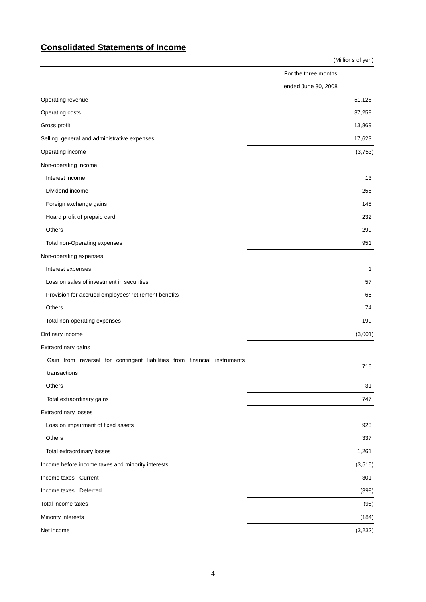## **Consolidated Statements of Income**

|                                                                          | (Millions of yen)    |
|--------------------------------------------------------------------------|----------------------|
|                                                                          | For the three months |
|                                                                          | ended June 30, 2008  |
| Operating revenue                                                        | 51,128               |
| Operating costs                                                          | 37,258               |
| Gross profit                                                             | 13,869               |
| Selling, general and administrative expenses                             | 17,623               |
| Operating income                                                         | (3,753)              |
| Non-operating income                                                     |                      |
| Interest income                                                          | 13                   |
| Dividend income                                                          | 256                  |
| Foreign exchange gains                                                   | 148                  |
| Hoard profit of prepaid card                                             | 232                  |
| Others                                                                   | 299                  |
| Total non-Operating expenses                                             | 951                  |
| Non-operating expenses                                                   |                      |
| Interest expenses                                                        | $\mathbf{1}$         |
| Loss on sales of investment in securities                                | 57                   |
| Provision for accrued employees' retirement benefits                     | 65                   |
| Others                                                                   | 74                   |
| Total non-operating expenses                                             | 199                  |
| Ordinary income                                                          | (3,001)              |
| Extraordinary gains                                                      |                      |
| Gain from reversal for contingent liabilities from financial instruments |                      |
| transactions                                                             | 716                  |
| Others                                                                   | 31                   |
| Total extraordinary gains                                                | 747                  |
| <b>Extraordinary losses</b>                                              |                      |
| Loss on impairment of fixed assets                                       | 923                  |
| Others                                                                   | 337                  |
| Total extraordinary losses                                               | 1,261                |
| Income before income taxes and minority interests                        | (3, 515)             |
| Income taxes : Current                                                   | 301                  |
| Income taxes : Deferred                                                  | (399)                |
| Total income taxes                                                       | (98)                 |
| Minority interests                                                       | (184)                |
| Net income                                                               | (3,232)              |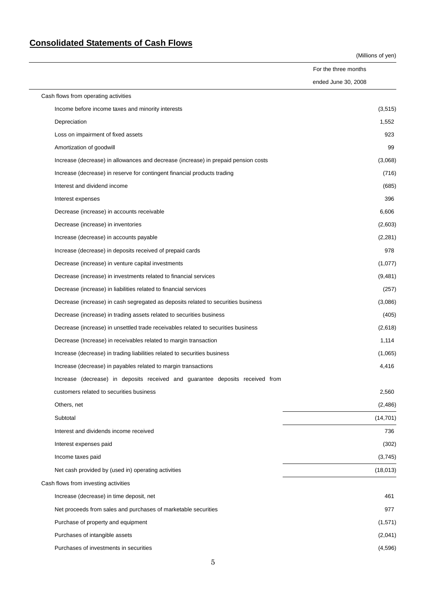# **Consolidated Statements of Cash Flows**

(Millions of yen)

|                                                                                    | For the three months |           |
|------------------------------------------------------------------------------------|----------------------|-----------|
|                                                                                    | ended June 30, 2008  |           |
| Cash flows from operating activities                                               |                      |           |
| Income before income taxes and minority interests                                  |                      | (3,515)   |
| Depreciation                                                                       |                      | 1,552     |
| Loss on impairment of fixed assets                                                 |                      | 923       |
| Amortization of goodwill                                                           |                      | 99        |
| Increase (decrease) in allowances and decrease (increase) in prepaid pension costs |                      | (3,068)   |
| Increase (decrease) in reserve for contingent financial products trading           |                      | (716)     |
| Interest and dividend income                                                       |                      | (685)     |
| Interest expenses                                                                  |                      | 396       |
| Decrease (increase) in accounts receivable                                         |                      | 6,606     |
| Decrease (increase) in inventories                                                 |                      | (2,603)   |
| Increase (decrease) in accounts payable                                            |                      | (2, 281)  |
| Increase (decrease) in deposits received of prepaid cards                          |                      | 978       |
| Decrease (increase) in venture capital investments                                 |                      | (1,077)   |
| Decrease (increase) in investments related to financial services                   |                      | (9,481)   |
| Decrease (increase) in liabilities related to financial services                   |                      | (257)     |
| Decrease (increase) in cash segregated as deposits related to securities business  |                      | (3,086)   |
| Decrease (increase) in trading assets related to securities business               |                      | (405)     |
| Decrease (increase) in unsettled trade receivables related to securities business  |                      | (2,618)   |
| Decrease (Increase) in receivables related to margin transaction                   |                      | 1,114     |
| Increase (decrease) in trading liabilities related to securities business          |                      | (1,065)   |
| Increase (decrease) in payables related to margin transactions                     |                      | 4,416     |
| Increase (decrease) in deposits received and guarantee deposits received from      |                      |           |
| customers related to securities business                                           |                      | 2,560     |
| Others, net                                                                        |                      | (2,486)   |
| Subtotal                                                                           |                      | (14, 701) |
| Interest and dividends income received                                             |                      | 736       |
| Interest expenses paid                                                             |                      | (302)     |
| Income taxes paid                                                                  |                      | (3,745)   |
| Net cash provided by (used in) operating activities                                |                      | (18, 013) |
| Cash flows from investing activities                                               |                      |           |
| Increase (decrease) in time deposit, net                                           |                      | 461       |
| Net proceeds from sales and purchases of marketable securities                     |                      | 977       |
| Purchase of property and equipment                                                 |                      | (1,571)   |
| Purchases of intangible assets                                                     |                      | (2,041)   |
| Purchases of investments in securities                                             |                      | (4, 596)  |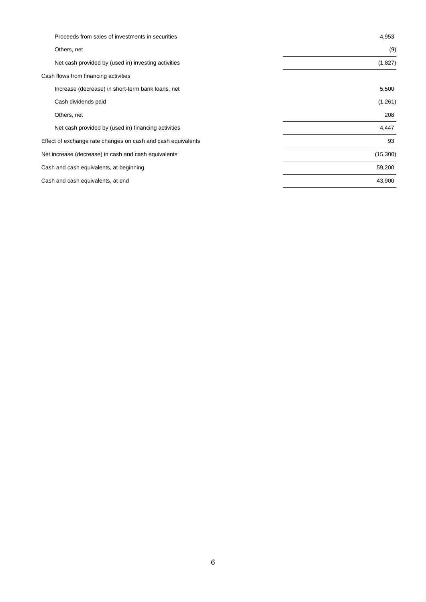| Proceeds from sales of investments in securities             | 4,953    |
|--------------------------------------------------------------|----------|
| Others, net                                                  | (9)      |
| Net cash provided by (used in) investing activities          | (1,827)  |
| Cash flows from financing activities                         |          |
| Increase (decrease) in short-term bank loans, net            | 5,500    |
| Cash dividends paid                                          | (1,261)  |
| Others, net                                                  | 208      |
| Net cash provided by (used in) financing activities          | 4,447    |
| Effect of exchange rate changes on cash and cash equivalents | 93       |
| Net increase (decrease) in cash and cash equivalents         | (15,300) |
| Cash and cash equivalents, at beginning                      | 59,200   |
| Cash and cash equivalents, at end                            | 43,900   |